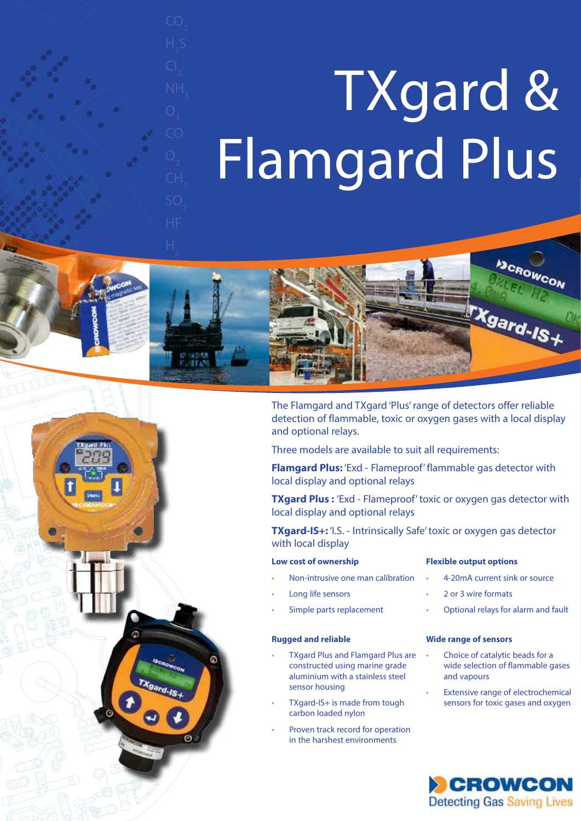# TXgard & Flamgard Plus





The Flamgard and TXgard 'Plus' range of detectors offer reliable detection of flammable, toxic or oxygen gases with a local display and optional relays.

Three models are available to suit all requirements:

**Flamgard Plus:** 'Exd - Flameproof' flammable gas detector with local display and optional relays

**TXgard Plus :** 'Exd - Flameproof' toxic or oxygen gas detector with local display and optional relays

**TXgard-IS+:** 'I.S. - Intrinsically Safe' toxic or oxygen gas detector with local display

## **Low cost of ownership**

# **Flexible output options**

- Non-intrusive one man calibration
- Long life sensors
- Simple parts replacement

### **Rugged and reliable**

ര

- TXgard Plus and Flamgard Plus are constructed using marine grade aluminium with a stainless steel sensor housing
- TXgard-IS+ is made from tough carbon loaded nylon
- Proven track record for operation in the harshest environments
- 4-20mA current sink or source
- 2 or 3 wire formats
- Optional relays for alarm and fault

#### **Wide range of sensors**

- Choice of catalytic beads for a wide selection of flammable gases and vapours
- Extensive range of electrochemical sensors for toxic gases and oxygen